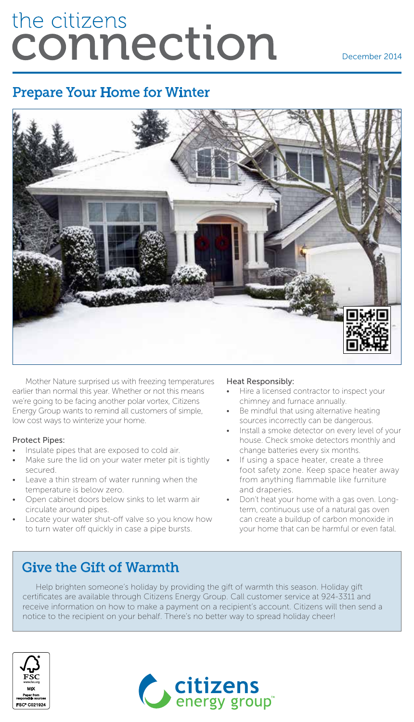# the citizens connection

December 2014

## Prepare Your Home for Winter



Mother Nature surprised us with freezing temperatures earlier than normal this year. Whether or not this means we're going to be facing another polar vortex, Citizens Energy Group wants to remind all customers of simple, low cost ways to winterize your home.

#### Protect Pipes:

- Insulate pipes that are exposed to cold air.
- Make sure the lid on your water meter pit is tightly secured.
- Leave a thin stream of water running when the temperature is below zero.
- Open cabinet doors below sinks to let warm air circulate around pipes.
- Locate your water shut-off valve so you know how to turn water off quickly in case a pipe bursts.

#### Heat Responsibly:

- Hire a licensed contractor to inspect your chimney and furnace annually.
- Be mindful that using alternative heating sources incorrectly can be dangerous.
- Install a smoke detector on every level of your house. Check smoke detectors monthly and change batteries every six months.
- If using a space heater, create a three foot safety zone. Keep space heater away from anything flammable like furniture and draperies.
- Don't heat your home with a gas oven. Longterm, continuous use of a natural gas oven can create a buildup of carbon monoxide in your home that can be harmful or even fatal.

## Give the Gift of Warmth

Help brighten someone's holiday by providing the gift of warmth this season. Holiday gift certificates are available through Citizens Energy Group. Call customer service at 924-3311 and receive information on how to make a payment on a recipient's account. Citizens will then send a notice to the recipient on your behalf. There's no better way to spread holiday cheer!